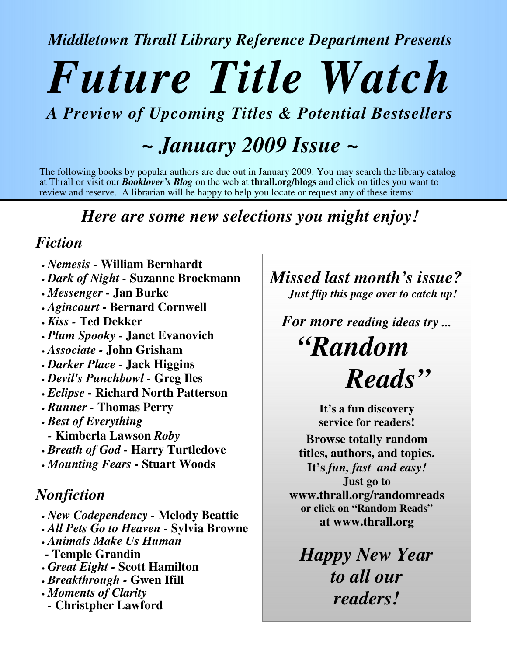*Middletown Thrall Library Reference Department Presents*

# *Future Title Watch*

## *A Preview of Upcoming Titles & Potential Bestsellers*

# *~ January 2009 Issue ~*

The following books by popular authors are due out in January 2009. You may search the library catalog at Thrall or visit our *Booklover's Blog* on the web at **thrall.org/blogs** and click on titles you want to review and reserve. A librarian will be happy to help you locate or request any of these items:

## *Here are some new selections you might enjoy!*

## *Fiction*

- *Nemesis -* **William Bernhardt**
- *Dark of Night -* **Suzanne Brockmann**
- *Messenger -* **Jan Burke**
- *Agincourt -* **Bernard Cornwell**
- *Kiss -* **Ted Dekker**
- *Plum Spooky -* **Janet Evanovich**
- *Associate -* **John Grisham**
- *Darker Place -* **Jack Higgins**
- *Devil's Punchbowl -* **Greg Iles**
- *Eclipse -* **Richard North Patterson**
- *Runner -* **Thomas Perry**
- *Best of Everything*
- *-* **Kimberla Lawson** *Roby*
- *Breath of God -* **Harry Turtledove**
- *Mounting Fears -* **Stuart Woods**

## *Nonfiction*

- *New Codependency -* **Melody Beattie**
- *All Pets Go to Heaven -* **Sylvia Browne**
- *Animals Make Us Human*
- **- Temple Grandin**
- *Great Eight -* **Scott Hamilton**
- *Breakthrough -* **Gwen Ifill**
- *Moments of Clarity*
	- *-* **Christpher Lawford**

*Missed last month's issue? Just flip this page over to catch up!*

*For more reading ideas try ...*

*"Random Reads"*

> **It's a fun discovery service for readers!**

**Browse totally random titles, authors, and topics.**

**It's** *fun, fast and easy!* **Just go to www.thrall.org/randomreads or click on "Random Reads" at www.thrall.org**

*Happy New Year to all our readers!*